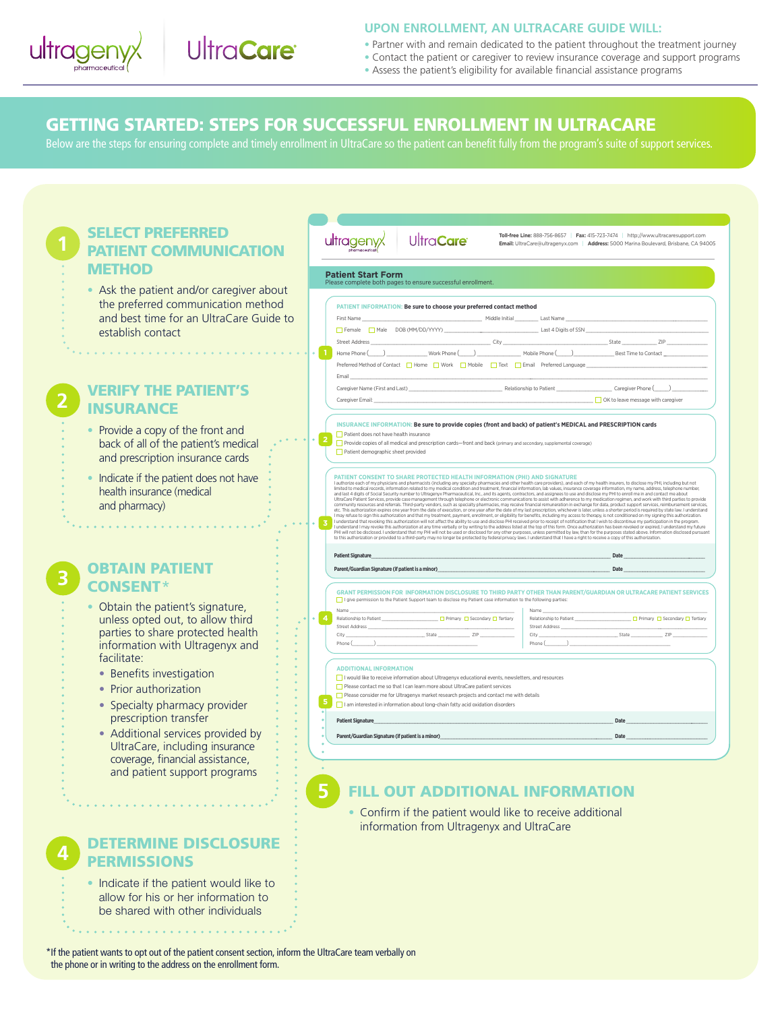

## **UPON ENROLLMENT, AN ULTRACARE GUIDE WILL:**

- Partner with and remain dedicated to the patient throughout the treatment journey
- Contact the patient or caregiver to review insurance coverage and support programs
- Assess the patient's eligibility for available financial assistance programs

## GETTING STARTED: STEPS FOR SUCCESSFUL ENROLLMENT IN ULTRACARE

Below are the steps for ensuring complete and timely enrollment in UltraCare so the patient can benefit fully from the program's suite of support services.

| SELECT PREFERRED<br><b>PATIENT COMMUNICATION</b><br><b>METHOD</b>                                                                                              | UltraCare<br>ultragenyx<br><b>Patient Start Form</b><br>Please complete both pages to ensure successful enrollment                                                                                                                                                                                                                                                                                                                                                                                                                                                                                                                                                                                                                                                                                                                                                                                                                                                                                                                                                                                                                                                                                                                                                                                                                                                                                                                                                                                                                                                                                                                                                                                                                                                                                                                                                                                                                                                     | Toll-free Line: 888-756-8657   Fax: 415-723-7474   http://www.ultracaresupport.com<br>Email: UltraCare@ultragenyx.com   Address: 5000 Marina Boulevard, Brisbane, CA 94005 |  |  |  |  |  |
|----------------------------------------------------------------------------------------------------------------------------------------------------------------|------------------------------------------------------------------------------------------------------------------------------------------------------------------------------------------------------------------------------------------------------------------------------------------------------------------------------------------------------------------------------------------------------------------------------------------------------------------------------------------------------------------------------------------------------------------------------------------------------------------------------------------------------------------------------------------------------------------------------------------------------------------------------------------------------------------------------------------------------------------------------------------------------------------------------------------------------------------------------------------------------------------------------------------------------------------------------------------------------------------------------------------------------------------------------------------------------------------------------------------------------------------------------------------------------------------------------------------------------------------------------------------------------------------------------------------------------------------------------------------------------------------------------------------------------------------------------------------------------------------------------------------------------------------------------------------------------------------------------------------------------------------------------------------------------------------------------------------------------------------------------------------------------------------------------------------------------------------------|----------------------------------------------------------------------------------------------------------------------------------------------------------------------------|--|--|--|--|--|
| • Ask the patient and/or caregiver about<br>the preferred communication method<br>and best time for an UltraCare Guide to<br>establish contact                 | PATIENT INFORMATION: Be sure to choose your preferred contact method<br>Middle Initial Last Name<br>First Name<br>Female Male DOB (MM/DD/YYYY)<br>Last 4 Digits of SSN<br><b>Street Address</b><br>City<br>Work Phone (_____)<br>Mobile Phone (Campbell 2014)<br>Home Phone ()<br>Preferred Method of Contact   Home   Work   Mobile   Text   Email Preferred Language                                                                                                                                                                                                                                                                                                                                                                                                                                                                                                                                                                                                                                                                                                                                                                                                                                                                                                                                                                                                                                                                                                                                                                                                                                                                                                                                                                                                                                                                                                                                                                                                 | $Stat$ e<br>Best Time to Contact                                                                                                                                           |  |  |  |  |  |
| <b>VERIFY THE PATIENT'S</b><br><b>INSURANCE</b>                                                                                                                | Email<br>Relationship to Patient<br>Caregiver Name (First and Last) _____<br>Caregiver Email:                                                                                                                                                                                                                                                                                                                                                                                                                                                                                                                                                                                                                                                                                                                                                                                                                                                                                                                                                                                                                                                                                                                                                                                                                                                                                                                                                                                                                                                                                                                                                                                                                                                                                                                                                                                                                                                                          | _ Caregiver Phone (<br>OK to leave message with caregiver                                                                                                                  |  |  |  |  |  |
| • Provide a copy of the front and<br>back of all of the patient's medical<br>and prescription insurance cards                                                  | INSURANCE INFORMATION: Be sure to provide copies (front and back) of patient's MEDICAL and PRESCRIPTION cards<br>Patient does not have health insurance<br>Provide copies of all medical and prescription cards—front and back (primary and secondary, supplemental coverage)<br>Patient demographic sheet provided                                                                                                                                                                                                                                                                                                                                                                                                                                                                                                                                                                                                                                                                                                                                                                                                                                                                                                                                                                                                                                                                                                                                                                                                                                                                                                                                                                                                                                                                                                                                                                                                                                                    |                                                                                                                                                                            |  |  |  |  |  |
| Indicate if the patient does not have<br>health insurance (medical<br>and pharmacy)                                                                            | PATIENT CONSENT TO SHARE PROTECTED HEALTH INFORMATION (PHI) AND SIGNATURE<br>I authorize each of my physicians and pharmacists (including any specialty pharmacies and other health care providers), and each of my health insurers, to disclose my PHI, including but not<br>limited to medical records, information related to my medical condition and treatment, financial information, lab values, insurance coverage information, my name, address, telephone number<br>and last 4 digits of Social Security number to Ultragenyx Pharmaceutical, Inc., and its agents, contractors, and assignees to use and disclose my PHI to enroll me in and contact me about<br>UltraCare Patient Services, provide case management through telephone or electronic communications to assist with adherence to my medication regimen, and work with third parties to provide<br>community resources and referrals<br>etc. This authorization expires one year from the date of execution, or one year after the date of my last prescription, whichever is later, unless a shorter period is required by state law. I understand<br>I may refuse to sign this authorization and that my treatment, payment, enrollment, or eligibility for benefits, including my access to therapy, is not conditioned on my signing this authorization.<br>I understand that revoking this authorization will not affect the ability to use and disclose PHI received prior to receipt of notification that I wish to discontinue my participation in the program.<br>I understand I may rev<br>PHI will not be disclosed. I understand that my PHI will not be used or disclosed for any other purposes, unless permitted by law, than for the purposes stated above. Information disclosed pursuan<br>to this authorization or provided to a third-party may no longer be protected by federal privacy laws. I understand that I have a right to receive a copy of this authorization. |                                                                                                                                                                            |  |  |  |  |  |
|                                                                                                                                                                | <b>Patient Signature</b>                                                                                                                                                                                                                                                                                                                                                                                                                                                                                                                                                                                                                                                                                                                                                                                                                                                                                                                                                                                                                                                                                                                                                                                                                                                                                                                                                                                                                                                                                                                                                                                                                                                                                                                                                                                                                                                                                                                                               | Date                                                                                                                                                                       |  |  |  |  |  |
| <b>OBTAIN PATIENT</b>                                                                                                                                          | Parent/Guardian Signature (if patient is a minor)_                                                                                                                                                                                                                                                                                                                                                                                                                                                                                                                                                                                                                                                                                                                                                                                                                                                                                                                                                                                                                                                                                                                                                                                                                                                                                                                                                                                                                                                                                                                                                                                                                                                                                                                                                                                                                                                                                                                     | Date                                                                                                                                                                       |  |  |  |  |  |
| <b>CONSENT*</b><br>Obtain the patient's signature,<br>unless opted out, to allow third<br>parties to share protected health<br>information with Ultragenyx and | GRANT PERMISSION FOR INFORMATION DISCLOSURE TO THIRD PARTY OTHER THAN PARENT/GUARDIAN OR ULTRACARE PATIENT SERVICES<br>I give permission to the Patient Support team to disclose my Patient case information to the following parties:<br>Name<br>Name<br>$\overline{4}$<br>Primary C Secondary C Tertiary<br>Relationship to Patient<br>Relationship to Patient<br>Street Address<br>Street Address<br>State ZIP<br>City<br>City<br>Phone (<br>Phone (                                                                                                                                                                                                                                                                                                                                                                                                                                                                                                                                                                                                                                                                                                                                                                                                                                                                                                                                                                                                                                                                                                                                                                                                                                                                                                                                                                                                                                                                                                                | □ Primary □ Secondary □ Tertiary<br>State ZIP                                                                                                                              |  |  |  |  |  |
| facilitate:<br>• Benefits investigation<br>• Prior authorization<br>• Specialty pharmacy provider                                                              | <b>ADDITIONAL INFORMATION</b><br>I would like to receive information about Ultragenyx educational events, newsletters, and resources<br>Please contact me so that I can learn more about UltraCare patient services<br>Please consider me for Ultragenyx market research projects and contact me with details<br>5<br>I am interested in information about long-chain fatty acid oxidation disorders                                                                                                                                                                                                                                                                                                                                                                                                                                                                                                                                                                                                                                                                                                                                                                                                                                                                                                                                                                                                                                                                                                                                                                                                                                                                                                                                                                                                                                                                                                                                                                   | Date                                                                                                                                                                       |  |  |  |  |  |
| prescription transfer                                                                                                                                          | <b>Patient Signature</b>                                                                                                                                                                                                                                                                                                                                                                                                                                                                                                                                                                                                                                                                                                                                                                                                                                                                                                                                                                                                                                                                                                                                                                                                                                                                                                                                                                                                                                                                                                                                                                                                                                                                                                                                                                                                                                                                                                                                               |                                                                                                                                                                            |  |  |  |  |  |
| • Additional services provided by<br>UltraCare, including insurance<br>coverage, financial assistance,                                                         | Parent/Guardian Signature (if patient is a minor)_                                                                                                                                                                                                                                                                                                                                                                                                                                                                                                                                                                                                                                                                                                                                                                                                                                                                                                                                                                                                                                                                                                                                                                                                                                                                                                                                                                                                                                                                                                                                                                                                                                                                                                                                                                                                                                                                                                                     | Date                                                                                                                                                                       |  |  |  |  |  |
| and patient support programs                                                                                                                                   | <b>FILL OUT ADDITIONAL INFORMATION</b>                                                                                                                                                                                                                                                                                                                                                                                                                                                                                                                                                                                                                                                                                                                                                                                                                                                                                                                                                                                                                                                                                                                                                                                                                                                                                                                                                                                                                                                                                                                                                                                                                                                                                                                                                                                                                                                                                                                                 |                                                                                                                                                                            |  |  |  |  |  |

 $\bullet$  Confirm if the patient would like to receive additional

information from Ultragenyx and UltraCare

## DETERMINE DISCLOSURE **PERMISSIONS**

**4**

• Indicate if the patient would like to allow for his or her information to be shared with other individuals

. . . . . . . . . . . . . .

\*If the patient wants to opt out of the patient consent section, inform the UltraCare team verbally on the phone or in writing to the address on the enrollment form.